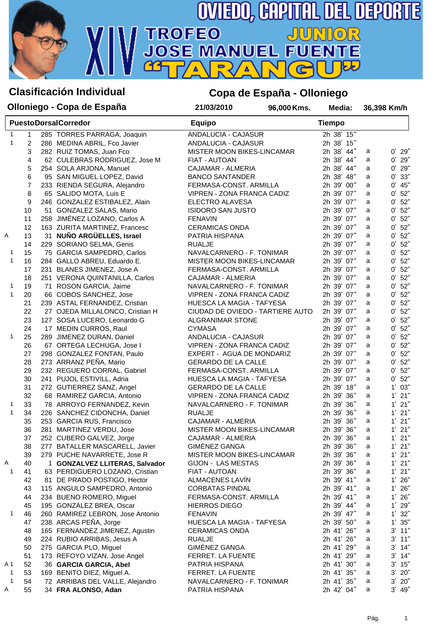

## **Clasificación Individual Copa de España - Olloniego**

|                   |                | Olloniego - Copa de España       | 21/03/2010                 | 96,000 Kms.                      | Media:        |   | 36,398 Km/h        |
|-------------------|----------------|----------------------------------|----------------------------|----------------------------------|---------------|---|--------------------|
|                   |                | <b>PuestoDorsalCorredor</b>      | <b>Equipo</b>              |                                  | <b>Tiempo</b> |   |                    |
| 1                 | 1              | 285 TORRES PARRAGA, Joaquin      | ANDALUCIA - CAJASUR        |                                  | 2h 38' 15"    |   |                    |
| $\mathbf{1}$      | $\overline{c}$ | 286 MEDINA ABRIL, Fco Javier     | ANDALUCIA - CAJASUR        |                                  | 2h 38' 15"    |   |                    |
|                   | 3              | 282 RUIZ TOMAS, Juan Fco         | MISTER MOON BIKES-LINCAMAR |                                  | 2h 38' 44"    | a | $0'$ 29"           |
|                   | 4              | 62 CULEBRAS RODRIGUEZ, Jose M    | FIAT - AUTOAN              |                                  | 2h 38' 44"    | a | $0'$ 29"           |
|                   | 5              | 254 SOLA ARJONA, Manuel          | CAJAMAR - ALMERIA          |                                  | 2h 38' 44"    | a | 0'<br>29"          |
|                   | 6              | 95 SAN MIGUEL LOPEZ, David       | <b>BANCO SANTANDER</b>     |                                  | 2h 38' 48"    | a | 33"<br>0'          |
|                   | 7              | 233 RIENDA SEGURA, Alejandro     | FERMASA-CONST. ARMILLA     |                                  | 2h 39' 00"    | a | 45"<br>0'          |
|                   | 8              | 65 SALIDO MOTA, Luis E           | VIPREN - ZONA FRANCA CADIZ |                                  | 2h 39' 07"    | a | 0'<br>52"          |
|                   | 9              | 246 GONZALEZ ESTIBALEZ, Alain    | ELECTRO ALAVESA            |                                  | 2h 39' 07"    | a | 0'<br>52"          |
|                   | 10             | 51 GONZALEZ SALAS, Mario         | <b>ISIDORO SAN JUSTO</b>   |                                  | 2h 39' 07"    | a | 52"<br>0'          |
|                   | 11             | 258 JIMÉNEZ LOZANO, Carlos A     | <b>FENAVIN</b>             |                                  | 2h 39' 07"    | a | 52"<br>0'          |
|                   | 12             | 163 ZURITA MARTINEZ, Francesc    | <b>CERAMICAS ONDA</b>      |                                  | 2h 39' 07"    | a | 52"<br>0'          |
| Α                 | 13             | 31 NUÑO ARGÜELLES, Israel        | PATRIA HISPANA             |                                  | 2h 39' 07"    | a | 52"<br>0'          |
|                   | 14             | 229 SORIANO SELMA, Genis         | <b>RUALJE</b>              |                                  | 2h 39' 07"    | a | 52"<br>0'          |
| 1                 | 15             | 75 GARCIA SAMPEDRO, Carlos       | NAVALCARNERO - F. TONIMAR  |                                  | 2h 39' 07"    | a | 52"<br>0'          |
| $\mathbf{1}$      | 16             | 284 GALLO ABREU, Eduardo E.      | MISTER MOON BIKES-LINCAMAR |                                  | 2h 39' 07"    | a | 52"<br>0'          |
|                   | 17             | 231 BLANES JIMENEZ, Jose A       | FERMASA-CONST. ARMILLA     |                                  | 2h 39' 07"    | a | 52"<br>0'          |
|                   | 18             | 251 VERONA QUINTANILLA, Carlos   | CAJAMAR - ALMERIA          |                                  | 2h 39' 07"    | a | 52"<br>0'          |
|                   |                |                                  |                            |                                  |               |   | 52"<br>0'          |
| 1<br>$\mathbf{1}$ | 19             | 71 ROSON GARCIA, Jaime           | NAVALCARNERO - F. TONIMAR  |                                  | 2h 39' 07"    | a |                    |
|                   | 20             | 66 COBOS SANCHEZ, Jose           | VIPREN - ZONA FRANCA CADIZ |                                  | 2h 39' 07"    | a | 0'<br>52"          |
|                   | 21             | 239 ASTAL FERNANDEZ, Cristian    | HUESCA LA MAGIA - TAFYESA  |                                  | 2h 39' 07"    | a | 52"<br>$0^\prime$  |
|                   | 22             | 27 OJEDA MILLALONCO, Cristian H  |                            | CIUDAD DE OVIEDO - TARTIERE AUTO | 2h 39' 07"    | a | 52"<br>0'          |
|                   | 23             | 127 SOSA LUCERO, Leonardo G      | ALGRANIMAR STONE           |                                  | 2h 39' 07"    | a | 52"<br>0'          |
|                   | 24             | 17 MEDIN CURROS, Raul            | <b>CYMASA</b>              |                                  | 2h 39' 07"    | a | 52"<br>0'          |
| 1                 | 25             | 289 JIMENEZ DURAN, Daniel        | ANDALUCIA - CAJASUR        |                                  | 2h 39' 07"    | a | 0'<br>52"          |
|                   | 26             | 67 ORTEGA LECHUGA, Jose I        | VIPREN - ZONA FRANCA CADIZ |                                  | 2h 39' 07"    | a | 0'<br>52"          |
|                   | 27             | 298 GONZALEZ FONTAN, Paulo       | EXPERT - AGUA DE MONDARIZ  |                                  | 2h 39' 07"    | a | 52"<br>0'          |
|                   | 28             | 273 ARRANZ PEÑA, Mario           | <b>GERARDO DE LA CALLE</b> |                                  | 2h 39' 07"    | a | 52"<br>0'          |
|                   | 29             | 232 REGUERO CORRAL, Gabriel      | FERMASA-CONST. ARMILLA     |                                  | 2h 39' 07"    | a | 52"<br>$0^\prime$  |
|                   | 30             | 241 PUJOL ESTIVILL, Adria        | HUESCA LA MAGIA - TAFYESA  |                                  | 2h 39' 07"    | a | 0'<br>52"          |
|                   | 31             | 272 GUTIERREZ SANZ, Angel        | <b>GERARDO DE LA CALLE</b> |                                  | 2h 39' 18"    | a | 1' 03"             |
|                   | 32             | 68 RAMIREZ GARCIA, Antonio       | VIPREN - ZONA FRANCA CADIZ |                                  | 2h 39' 36"    | a | $1'$ 21"           |
| 1                 | 33             | 78 ARROYO FERNANDEZ, Kevin       | NAVALCARNERO - F. TONIMAR  |                                  | 2h 39' 36"    | a | $1'$ 21"           |
| $\mathbf{1}$      | 34             | 226 SANCHEZ CIDONCHA, Daniel     | <b>RUALJE</b>              |                                  | 2h 39' 36"    | a | $1'$ 21"           |
|                   | 35             | 253 GARCIA RUS, Francisco        | CAJAMAR - ALMERIA          |                                  | 2h 39' 36"    | a | $1'$ 21"           |
|                   | 36             | 281 MARTINEZ VERDU, Jose         | MISTER MOON BIKES-LINCAMAR |                                  | 2h 39' 36"    | a | $1'$ 21"           |
|                   | 37             | 252 CUBERO GALVEZ, Jorge         | <b>CAJAMAR - ALMERIA</b>   |                                  | 2h 39' 36"    | a | $1'$ 21"           |
|                   | 38             | 277 BATALLER MASCARELL, Javier   | GIMÉNEZ GANGA              |                                  | 2h 39' 36"    | a | $1'$ 21"           |
|                   | 39             | 279 PUCHE NAVARRETE, Jose R      | MISTER MOON BIKES-LINCAMAR |                                  | 2h 39' 36"    | a | 21"<br>$1^{\circ}$ |
| A                 | 40             | 1 GONZALVEZ LLITERAS, Salvador   | GIJON - LAS MESTAS         |                                  | 2h 39' 36"    | a | $1'$ 21"           |
| 1                 | 41             | 63 PERDIGUERO LOZANO, Cristian   | FIAT - AUTOAN              |                                  | 2h 39' 36"    | a | $1'$ 21"           |
|                   | 42             | 81 DE PRADO POSTIGO, Hector      | ALMACENES LAVIN            |                                  | 2h 39' 41"    | a | 26"<br>11          |
|                   | 43             | 115 ANGULO SAMPEDRO, Antonio     | <b>CORBATAS PINDAL</b>     |                                  | 2h 39' 41"    | а | $1'$ 26"           |
|                   | 44             | 234 BUENO ROMERO, Miguel         | FERMASA-CONST. ARMILLA     |                                  | 2h 39' 41"    | a | 26"<br>$1^{\circ}$ |
|                   | 45             | 195 GONZÁLEZ BREA, Oscar         | <b>HIERROS DIEGO</b>       |                                  | 2h 39' 44"    | a | 1'<br>29"          |
| 1                 | 46             | 260 RAMIREZ LEBRON, Jose Antonio | <b>FENAVIN</b>             |                                  | 2h 39' 47"    | a | 32"<br>$1^{\circ}$ |
|                   | 47             | 238 ARCAS PEÑA, Jorge            | HUESCA LA MAGIA - TAFYESA  |                                  | 2h 39' 50"    | a | 35"<br>1'          |
|                   |                | 165 FERNANDEZ JIMENEZ, Agustin   |                            |                                  | 2h 41' 26"    |   | 3'<br>11"          |
|                   | 48             |                                  | <b>CERAMICAS ONDA</b>      |                                  |               | a |                    |
|                   | 49             | 224 RUBIO ARRIBAS, Jesus A       | <b>RUALJE</b>              |                                  | 2h 41' 26"    | a | $3'$ 11"           |
|                   | 50             | 275 GARCIA PLO, Miguel           | GIMÉNEZ GANGA              |                                  | 2h 41' 29"    | a | 3'<br>14"          |
|                   | 51             | 173 REFOYO VIZAN, Jose Angel     | FERRET. LA FUENTE          |                                  | 2h 41' 29"    | a | 3'<br>14"          |
| A 1               | 52             | 36 GARCIA GARCIA, Abel           | PATRIA HISPANA             |                                  | 2h 41' 30"    | a | 3'<br>15"          |
| 1                 | 53             | 169 BENITO DIEZ, Miguel A.       | FERRET. LA FUENTE          |                                  | 2h 41' 35"    | a | $3'$ 20"           |
| 1                 | 54             | 72 ARRIBAS DEL VALLE, Alejandro  | NAVALCARNERO - F. TONIMAR  |                                  | 2h 41' 35"    | a | 3'<br>20"          |
| Α                 | 55             | 34 FRA ALONSO, Adan              | PATRIA HISPANA             |                                  | 2h 42' 04"    | a | 3' 49"             |